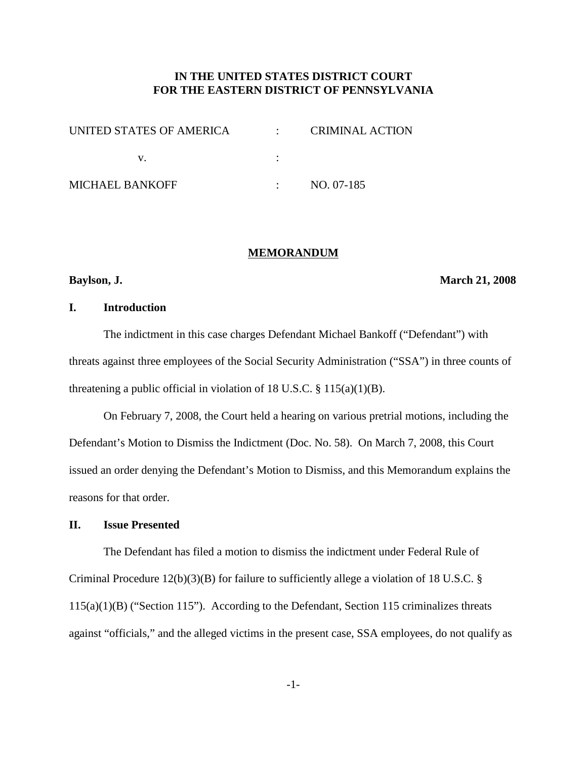# **IN THE UNITED STATES DISTRICT COURT FOR THE EASTERN DISTRICT OF PENNSYLVANIA**

| UNITED STATES OF AMERICA | <b>CRIMINAL ACTION</b> |
|--------------------------|------------------------|
|                          |                        |
| MICHAEL BANKOFF          | NO. 07-185             |

#### **MEMORANDUM**

#### **Baylson, J. March 21, 2008**

# **I. Introduction**

The indictment in this case charges Defendant Michael Bankoff ("Defendant") with threats against three employees of the Social Security Administration ("SSA") in three counts of threatening a public official in violation of 18 U.S.C.  $\S$  115(a)(1)(B).

On February 7, 2008, the Court held a hearing on various pretrial motions, including the Defendant's Motion to Dismiss the Indictment (Doc. No. 58). On March 7, 2008, this Court issued an order denying the Defendant's Motion to Dismiss, and this Memorandum explains the reasons for that order.

# **II. Issue Presented**

The Defendant has filed a motion to dismiss the indictment under Federal Rule of Criminal Procedure 12(b)(3)(B) for failure to sufficiently allege a violation of 18 U.S.C. § 115(a)(1)(B) ("Section 115"). According to the Defendant, Section 115 criminalizes threats against "officials," and the alleged victims in the present case, SSA employees, do not qualify as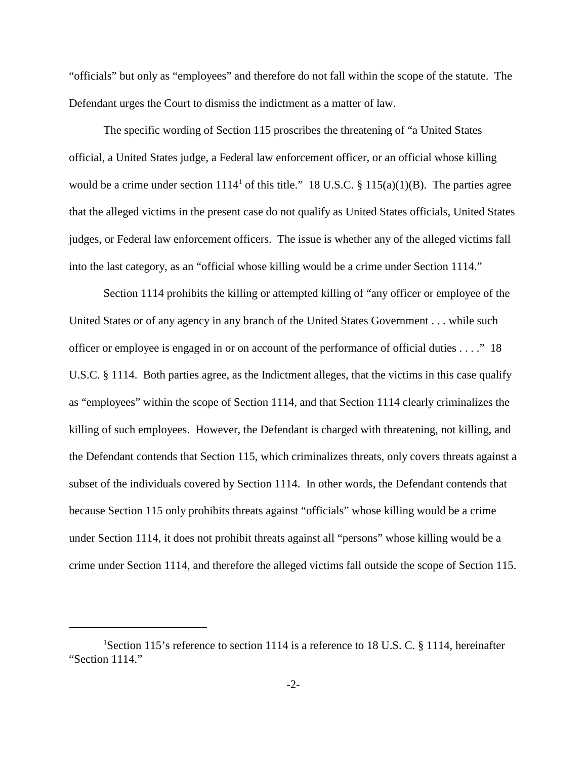"officials" but only as "employees" and therefore do not fall within the scope of the statute. The Defendant urges the Court to dismiss the indictment as a matter of law.

The specific wording of Section 115 proscribes the threatening of "a United States official, a United States judge, a Federal law enforcement officer, or an official whose killing would be a crime under section  $1114^1$  of this title." 18 U.S.C. § 115(a)(1)(B). The parties agree that the alleged victims in the present case do not qualify as United States officials, United States judges, or Federal law enforcement officers. The issue is whether any of the alleged victims fall into the last category, as an "official whose killing would be a crime under Section 1114."

Section 1114 prohibits the killing or attempted killing of "any officer or employee of the United States or of any agency in any branch of the United States Government . . . while such officer or employee is engaged in or on account of the performance of official duties . . . ." 18 U.S.C. § 1114. Both parties agree, as the Indictment alleges, that the victims in this case qualify as "employees" within the scope of Section 1114, and that Section 1114 clearly criminalizes the killing of such employees. However, the Defendant is charged with threatening, not killing, and the Defendant contends that Section 115, which criminalizes threats, only covers threats against a subset of the individuals covered by Section 1114. In other words, the Defendant contends that because Section 115 only prohibits threats against "officials" whose killing would be a crime under Section 1114, it does not prohibit threats against all "persons" whose killing would be a crime under Section 1114, and therefore the alleged victims fall outside the scope of Section 115.

<sup>&</sup>lt;sup>1</sup>Section 115's reference to section 1114 is a reference to 18 U.S. C. § 1114, hereinafter "Section 1114."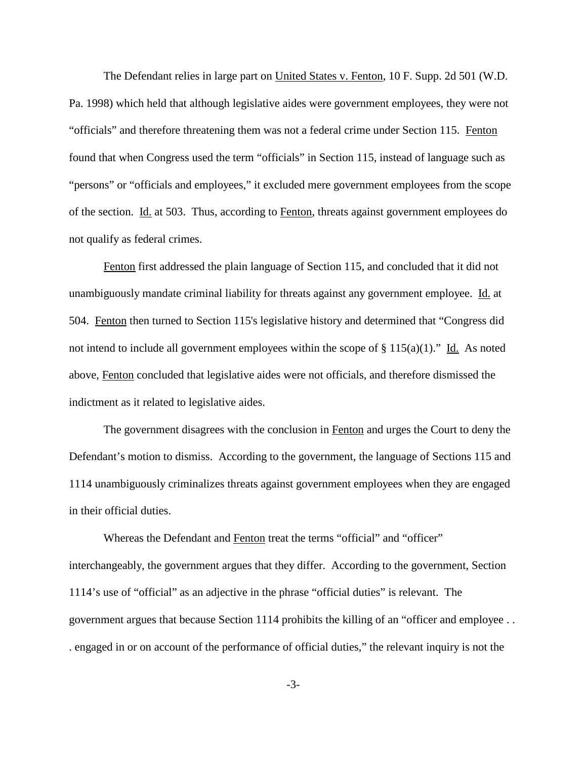The Defendant relies in large part on United States v. Fenton, 10 F. Supp. 2d 501 (W.D. Pa. 1998) which held that although legislative aides were government employees, they were not "officials" and therefore threatening them was not a federal crime under Section 115. Fenton found that when Congress used the term "officials" in Section 115, instead of language such as "persons" or "officials and employees," it excluded mere government employees from the scope of the section. Id. at 503. Thus, according to Fenton, threats against government employees do not qualify as federal crimes.

Fenton first addressed the plain language of Section 115, and concluded that it did not unambiguously mandate criminal liability for threats against any government employee. Id. at 504. Fenton then turned to Section 115's legislative history and determined that "Congress did not intend to include all government employees within the scope of  $\S 115(a)(1)$ ." Id. As noted above, Fenton concluded that legislative aides were not officials, and therefore dismissed the indictment as it related to legislative aides.

The government disagrees with the conclusion in Fenton and urges the Court to deny the Defendant's motion to dismiss. According to the government, the language of Sections 115 and 1114 unambiguously criminalizes threats against government employees when they are engaged in their official duties.

Whereas the Defendant and Fenton treat the terms "official" and "officer" interchangeably, the government argues that they differ. According to the government, Section 1114's use of "official" as an adjective in the phrase "official duties" is relevant. The government argues that because Section 1114 prohibits the killing of an "officer and employee . . . engaged in or on account of the performance of official duties," the relevant inquiry is not the

-3-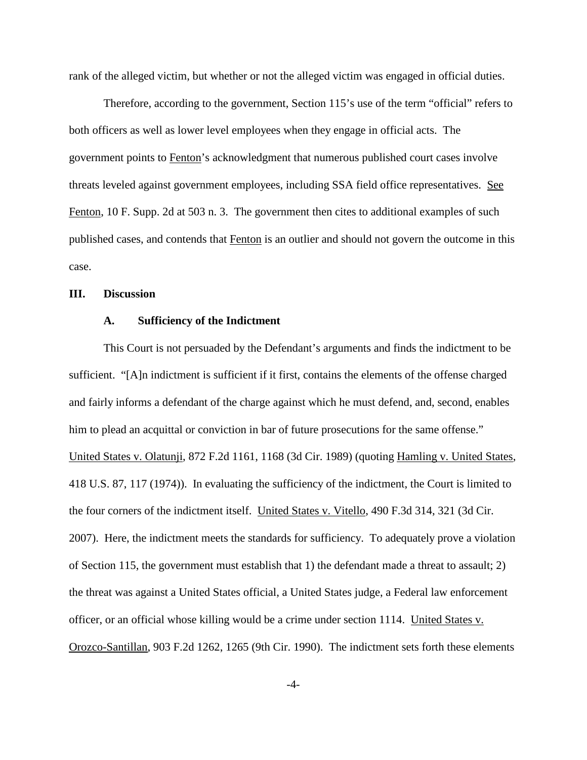rank of the alleged victim, but whether or not the alleged victim was engaged in official duties.

Therefore, according to the government, Section 115's use of the term "official" refers to both officers as well as lower level employees when they engage in official acts. The government points to Fenton's acknowledgment that numerous published court cases involve threats leveled against government employees, including SSA field office representatives. See Fenton, 10 F. Supp. 2d at 503 n. 3. The government then cites to additional examples of such published cases, and contends that Fenton is an outlier and should not govern the outcome in this case.

#### **III. Discussion**

#### **A. Sufficiency of the Indictment**

This Court is not persuaded by the Defendant's arguments and finds the indictment to be sufficient. "[A]n indictment is sufficient if it first, contains the elements of the offense charged and fairly informs a defendant of the charge against which he must defend, and, second, enables him to plead an acquittal or conviction in bar of future prosecutions for the same offense." United States v. Olatunji, 872 F.2d 1161, 1168 (3d Cir. 1989) (quoting Hamling v. United States, 418 U.S. 87, 117 (1974)). In evaluating the sufficiency of the indictment, the Court is limited to the four corners of the indictment itself. United States v. Vitello, 490 F.3d 314, 321 (3d Cir. 2007). Here, the indictment meets the standards for sufficiency. To adequately prove a violation of Section 115, the government must establish that 1) the defendant made a threat to assault; 2) the threat was against a United States official, a United States judge, a Federal law enforcement officer, or an official whose killing would be a crime under section 1114. United States v. Orozco-Santillan, 903 F.2d 1262, 1265 (9th Cir. 1990). The indictment sets forth these elements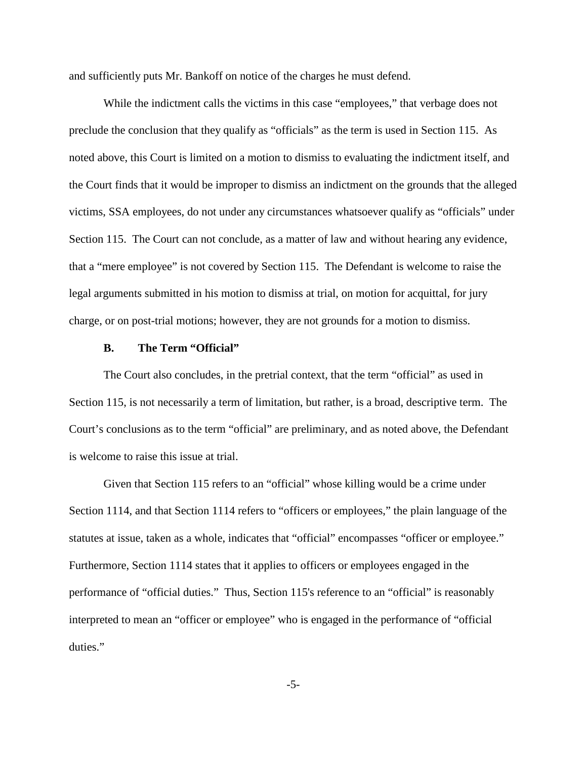and sufficiently puts Mr. Bankoff on notice of the charges he must defend.

While the indictment calls the victims in this case "employees," that verbage does not preclude the conclusion that they qualify as "officials" as the term is used in Section 115. As noted above, this Court is limited on a motion to dismiss to evaluating the indictment itself, and the Court finds that it would be improper to dismiss an indictment on the grounds that the alleged victims, SSA employees, do not under any circumstances whatsoever qualify as "officials" under Section 115. The Court can not conclude, as a matter of law and without hearing any evidence, that a "mere employee" is not covered by Section 115. The Defendant is welcome to raise the legal arguments submitted in his motion to dismiss at trial, on motion for acquittal, for jury charge, or on post-trial motions; however, they are not grounds for a motion to dismiss.

### **B. The Term "Official"**

The Court also concludes, in the pretrial context, that the term "official" as used in Section 115, is not necessarily a term of limitation, but rather, is a broad, descriptive term. The Court's conclusions as to the term "official" are preliminary, and as noted above, the Defendant is welcome to raise this issue at trial.

Given that Section 115 refers to an "official" whose killing would be a crime under Section 1114, and that Section 1114 refers to "officers or employees," the plain language of the statutes at issue, taken as a whole, indicates that "official" encompasses "officer or employee." Furthermore, Section 1114 states that it applies to officers or employees engaged in the performance of "official duties." Thus, Section 115's reference to an "official" is reasonably interpreted to mean an "officer or employee" who is engaged in the performance of "official duties."

-5-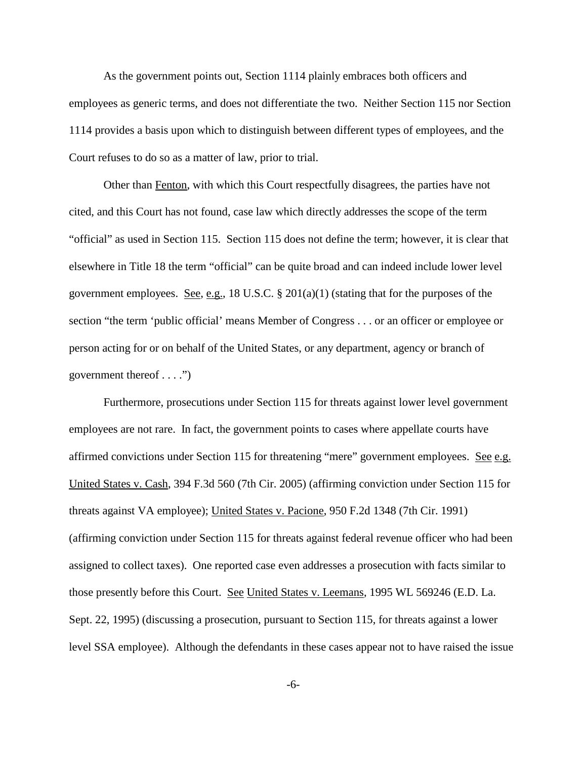As the government points out, Section 1114 plainly embraces both officers and employees as generic terms, and does not differentiate the two. Neither Section 115 nor Section 1114 provides a basis upon which to distinguish between different types of employees, and the Court refuses to do so as a matter of law, prior to trial.

Other than Fenton, with which this Court respectfully disagrees, the parties have not cited, and this Court has not found, case law which directly addresses the scope of the term "official" as used in Section 115. Section 115 does not define the term; however, it is clear that elsewhere in Title 18 the term "official" can be quite broad and can indeed include lower level government employees. <u>See, e.g.</u>, 18 U.S.C.  $\S 201(a)(1)$  (stating that for the purposes of the section "the term 'public official' means Member of Congress . . . or an officer or employee or person acting for or on behalf of the United States, or any department, agency or branch of government thereof . . . .")

Furthermore, prosecutions under Section 115 for threats against lower level government employees are not rare. In fact, the government points to cases where appellate courts have affirmed convictions under Section 115 for threatening "mere" government employees. See e.g. United States v. Cash, 394 F.3d 560 (7th Cir. 2005) (affirming conviction under Section 115 for threats against VA employee); United States v. Pacione, 950 F.2d 1348 (7th Cir. 1991) (affirming conviction under Section 115 for threats against federal revenue officer who had been assigned to collect taxes). One reported case even addresses a prosecution with facts similar to those presently before this Court. See United States v. Leemans, 1995 WL 569246 (E.D. La. Sept. 22, 1995) (discussing a prosecution, pursuant to Section 115, for threats against a lower level SSA employee). Although the defendants in these cases appear not to have raised the issue

-6-